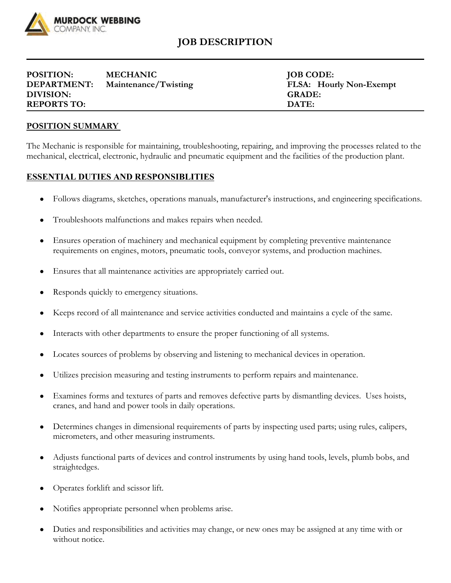

## **JOB DESCRIPTION**

| <b>POSITION:</b>   | <b>MECHANIC</b>      | <b>JOB CODE:</b>  |
|--------------------|----------------------|-------------------|
| <b>DEPARTMENT:</b> | Maintenance/Twisting | FLSA: Hourly Non- |
| DIVISION:          |                      | <b>GRADE:</b>     |
| <b>REPORTS TO:</b> |                      | DATE:             |

**JOB CODE:** FLSA: Hourly Non-Exempt

## **POSITION SUMMARY**

The Mechanic is responsible for maintaining, troubleshooting, repairing, and improving the processes related to the mechanical, electrical, electronic, hydraulic and pneumatic equipment and the facilities of the production plant.

## **ESSENTIAL DUTIES AND RESPONSIBLITIES**

- Follows diagrams, sketches, operations manuals, manufacturer's instructions, and engineering specifications.
- Troubleshoots malfunctions and makes repairs when needed.
- Ensures operation of machinery and mechanical equipment by completing preventive maintenance requirements on engines, motors, pneumatic tools, conveyor systems, and production machines.
- Ensures that all maintenance activities are appropriately carried out.
- Responds quickly to emergency situations.
- Keeps record of all maintenance and service activities conducted and maintains a cycle of the same.
- Interacts with other departments to ensure the proper functioning of all systems.
- Locates sources of problems by observing and listening to mechanical devices in operation.
- Utilizes precision measuring and testing instruments to perform repairs and maintenance.
- Examines forms and textures of parts and removes defective parts by dismantling devices. Uses hoists, cranes, and hand and power tools in daily operations.
- Determines changes in dimensional requirements of parts by inspecting used parts; using rules, calipers, micrometers, and other measuring instruments.
- Adjusts functional parts of devices and control instruments by using hand tools, levels, plumb bobs, and straightedges.
- Operates forklift and scissor lift.
- Notifies appropriate personnel when problems arise.
- Duties and responsibilities and activities may change, or new ones may be assigned at any time with or without notice.